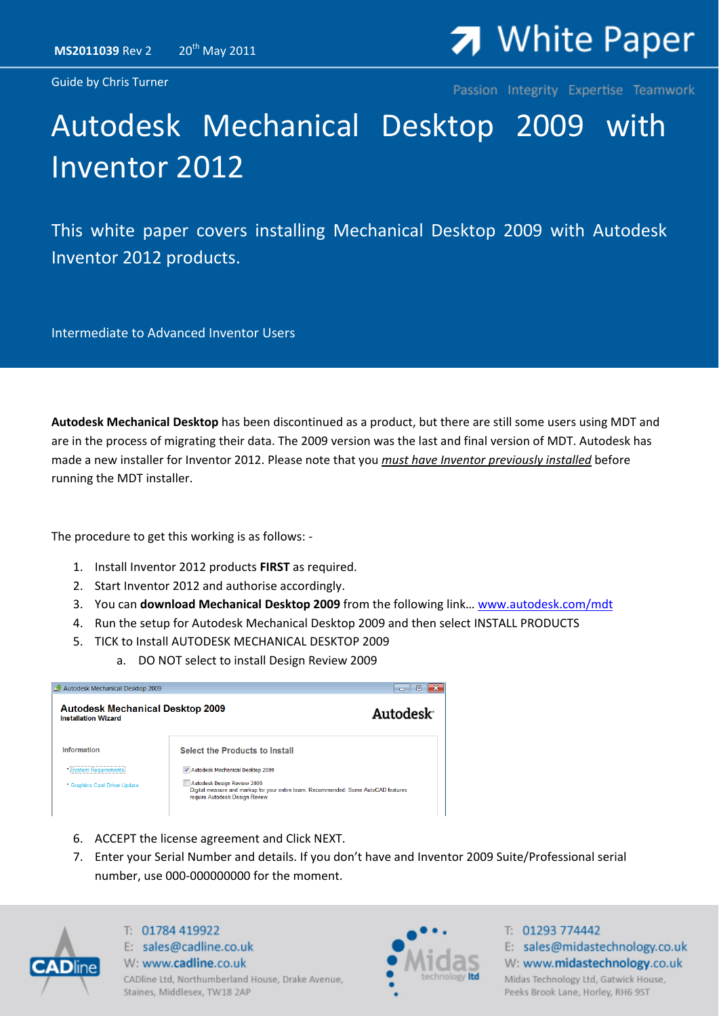Guide by Chris Turner

# **7** White Paper

Passion Integrity Expertise Teamwork

## Autodesk Mechanical Desktop 2009 with Inventor 2012

This white paper covers installing Mechanical Desktop 2009 with Autodesk Inventor 2012 products.

Intermediate to Advanced Inventor Users

**Autodesk Mechanical Desktop** has been discontinued as a product, but there are still some users using MDT and are in the process of migrating their data. The 2009 version was the last and final version of MDT. Autodesk has made a new installer for Inventor 2012. Please note that you *must have Inventor previously installed* before running the MDT installer.

The procedure to get this working is as follows: ‐

- 1. Install Inventor 2012 products **FIRST** as required.
- 2. Start Inventor 2012 and authorise accordingly.
- 3. You can **download Mechanical Desktop 2009** from the following link… [www.autodesk.com/mdt](http://www.autodesk.com/mdt)
- 4. Run the setup for Autodesk Mechanical Desktop 2009 and then select INSTALL PRODUCTS
- 5. TICK to Install AUTODESK MECHANICAL DESKTOP 2009
	- a. DO NOT select to install Design Review 2009

| Autodesk Mechanical Desktop 2009                                      |                                                                                                                                                                                           | $\Box$<br>$\Box$      |
|-----------------------------------------------------------------------|-------------------------------------------------------------------------------------------------------------------------------------------------------------------------------------------|-----------------------|
| <b>Autodesk Mechanical Desktop 2009</b><br><b>Installation Wizard</b> |                                                                                                                                                                                           | Autodesk <sup>®</sup> |
| Information                                                           | <b>Select the Products to Install</b>                                                                                                                                                     |                       |
| stem Requirements<br><b>Graphics Card Driver Update</b>               | Autodesk Mechanical Desktop 2009<br>Autodesk Design Review 2009<br>Digital measure and markup for your entire team. Recommended: Some AutoCAD features<br>require Autodesk Design Review. |                       |

- 6. ACCEPT the license agreement and Click NEXT.
- 7. Enter your Serial Number and details. If you don't have and Inventor 2009 Suite/Professional serial number, use 000‐000000000 for the moment.



T: 01784 419922 E: sales@cadline.co.uk W: www.cadline.co.uk CADline Ltd, Northumberland House, Drake Avenue, Staines, Middlesex, TW18 2AP



T: 01293 774442 E: sales@midastechnology.co.uk W: www.midastechnology.co.uk Midas Technology Ltd, Gatwick House, Peeks Brook Lane, Horley, RH6 9ST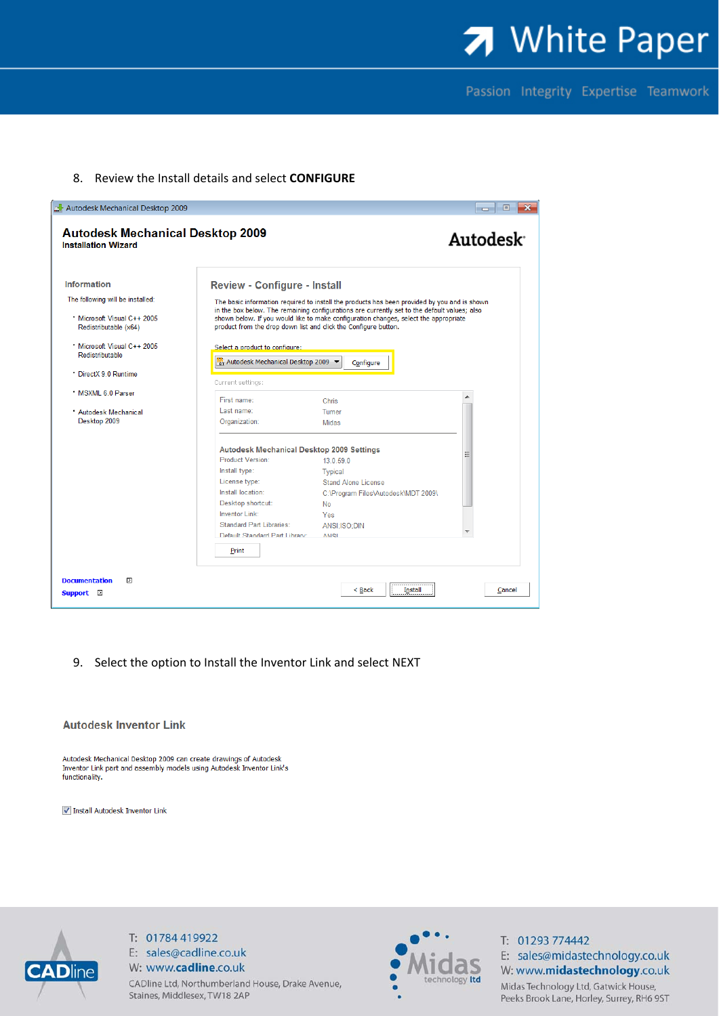7 White Paper

Passion Integrity Expertise Teamwork

#### 8. Review the Install details and select CONFIGURE

| Autodesk Mechanical Desktop 2009<br><b>Autodesk Mechanical Desktop 2009</b><br><b>Installation Wizard</b> |                                                                       |                                                                                                                                                                                      | $\mathbf{x}$<br>▣<br>$\Box$<br>Autodesk <sup>®</sup> |
|-----------------------------------------------------------------------------------------------------------|-----------------------------------------------------------------------|--------------------------------------------------------------------------------------------------------------------------------------------------------------------------------------|------------------------------------------------------|
| <b>Information</b>                                                                                        | <b>Review - Configure - Install</b>                                   |                                                                                                                                                                                      |                                                      |
| The following will be installed:                                                                          |                                                                       | The basic information required to install the products has been provided by you and is shown                                                                                         |                                                      |
| * Microsoft Visual C++ 2005<br>Redistributable (x64)                                                      | product from the drop down list and click the Configure button.       | in the box below. The remaining configurations are currently set to the default values; also<br>shown below. If you would like to make configuration changes, select the appropriate |                                                      |
| Microsoft Visual C++ 2005<br>Redistributable                                                              | Select a product to configure:<br>Mt Autodesk Mechanical Desktop 2009 | Configure                                                                                                                                                                            |                                                      |
| * DirectX 9.0 Runtime                                                                                     | Current settings:                                                     |                                                                                                                                                                                      |                                                      |
| * MSXML 6.0 Parser                                                                                        |                                                                       |                                                                                                                                                                                      |                                                      |
| * Autodesk Mechanical                                                                                     | First name:<br>Last name:                                             | Chris<br>Turner                                                                                                                                                                      |                                                      |
| Desktop 2009                                                                                              | Organization:                                                         | Midas                                                                                                                                                                                |                                                      |
|                                                                                                           | Autodesk Mechanical Desktop 2009 Settings                             |                                                                                                                                                                                      |                                                      |
|                                                                                                           | Product Version:                                                      | 13.0.59.0                                                                                                                                                                            |                                                      |
|                                                                                                           | Install type:<br>License type:                                        | Typical<br><b>Stand Alone License</b>                                                                                                                                                |                                                      |
|                                                                                                           | Install location:                                                     | C:\Program Files\Autodesk\MDT 2009\                                                                                                                                                  |                                                      |
|                                                                                                           | Desktop shortcut:                                                     | No                                                                                                                                                                                   |                                                      |
|                                                                                                           | <b>Inventor Link:</b>                                                 | Yes                                                                                                                                                                                  |                                                      |
|                                                                                                           | Standard Part Libraries:                                              | ANSI:ISO:DIN                                                                                                                                                                         |                                                      |
|                                                                                                           | Default Standard Part Library:                                        | <b>AMRI</b>                                                                                                                                                                          |                                                      |
|                                                                                                           | Print                                                                 |                                                                                                                                                                                      |                                                      |
| $\triangleright$<br><b>Documentation</b><br>Support $\boxtimes$                                           |                                                                       | <b>Install</b><br>< <u>B</u> ack                                                                                                                                                     | Cancel                                               |

9. Select the option to Install the Inventor Link and select NEXT

#### **Autodesk Inventor Link**

Autodesk Mechanical Desktop 2009 can create drawings of Autodesk Inventor Link part and assembly models using Autodesk Inventor Link's functionality.

√ Install Autodesk Inventor Link



T: 01784 419922 E: sales@cadline.co.uk W: www.cadline.co.uk CADline Ltd, Northumberland House, Drake Avenue, Staines, Middlesex, TW18 2AP



T: 01293 774442 E: sales@midastechnology.co.uk W: www.midastechnology.co.uk Midas Technology Ltd, Gatwick House, Peeks Brook Lane, Horley, Surrey, RH6 9ST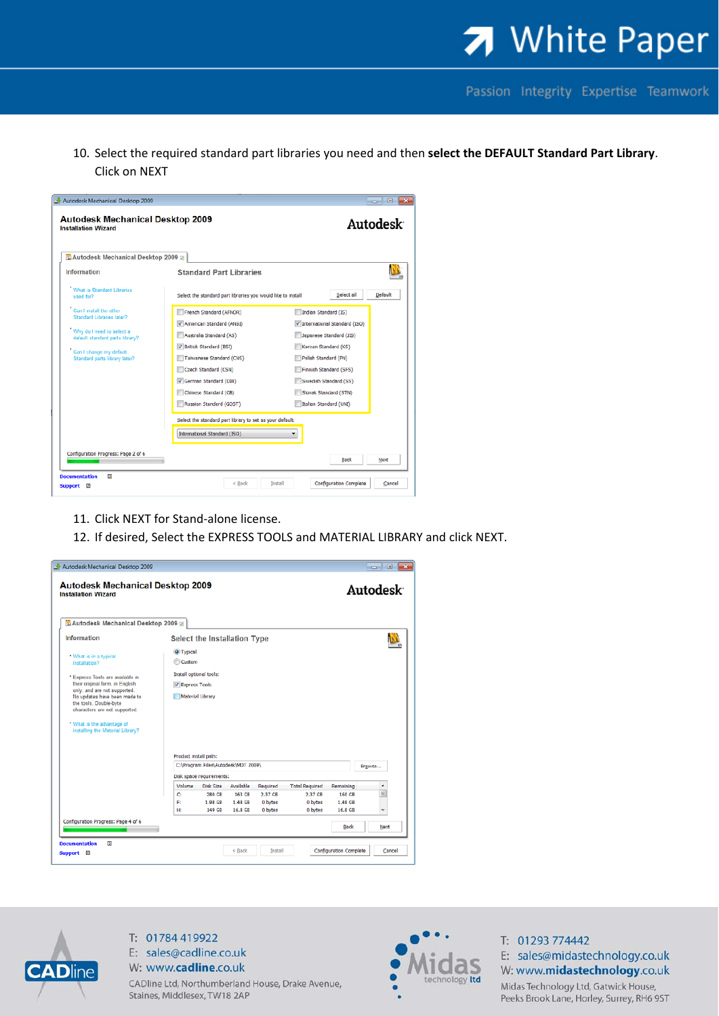

Passion Integrity Expertise Teamwork

10. Select the required standard part libraries you need and then **select the DEFAULT Standard Part Library**. Click on NEXT

| <sup>體</sup> Autodesk Mechanical Desktop 2009 <b>P</b>       |                                                              |                              |
|--------------------------------------------------------------|--------------------------------------------------------------|------------------------------|
| <b>Information</b>                                           | <b>Standard Part Libraries</b>                               |                              |
| What is Standard Libraries<br>used for?                      | Select the standard part libraries you would like to install | Default<br>Select all        |
| Can I install the other<br>Standard Libraries later?         | French Standard (AFNOR)                                      | Indian Standard (IS)         |
|                                                              | American Standard (ANSI)                                     | International Standard (ISO) |
| Why do I need to select a<br>default standard parts library? | Australia Standard (AS)                                      | Japanese Standard (JIS)      |
| Can I change my default                                      | V British Standard (BSI)                                     | Korean Standard (KS)         |
| Standard parts library later?                                | Taiwanese Standard (CNS)                                     | Polish Standard (PN)         |
|                                                              | Czech Standard (CSN)                                         | Finnish Standard (SFS)       |
|                                                              | German Standard (DIN)                                        | Swedish Standard (SS)        |
|                                                              | Chinese Standard (GB)                                        | Slovak Standard (STN)        |
|                                                              | Russian Standard (GOST)                                      | Italian Standard (UNI)       |
|                                                              | Select the standard part library to set as your default:     |                              |
|                                                              | International Standard (ISO)                                 |                              |

- 11. Click NEXT for Stand-alone license.
- 12. If desired, Select the EXPRESS TOOLS and MATERIAL LIBRARY and click NEXT.

|                                                                                                                         | Autodesk Mechanical Desktop 2009 Ø                           |                   |                    |                       |                   |        |
|-------------------------------------------------------------------------------------------------------------------------|--------------------------------------------------------------|-------------------|--------------------|-----------------------|-------------------|--------|
| Information                                                                                                             | Select the Installation Type                                 |                   |                    |                       |                   |        |
| . What is in a typical<br>installation?                                                                                 | Typical<br>Custom                                            |                   |                    |                       |                   |        |
| * Express Tools are available in                                                                                        | Install optional tools:                                      |                   |                    |                       |                   |        |
| their original form, in English                                                                                         | V Express Tools                                              |                   |                    |                       |                   |        |
| only, and are not supported.<br>No updates have been made to<br>the tools. Double-byte<br>characters are not supported. | Material Library                                             |                   |                    |                       |                   |        |
| * What is the advantage of                                                                                              |                                                              |                   |                    |                       |                   |        |
| installing the Material Library?                                                                                        | Product install path:<br>C:\Program Files\Autodesk\MDT 2009\ |                   |                    |                       |                   | Browse |
|                                                                                                                         | Disk space requirements:                                     |                   |                    |                       |                   |        |
|                                                                                                                         | Volume<br>Disk Size                                          | Available         | Required           | <b>Total Required</b> | Remaining         | ۰      |
|                                                                                                                         | C:<br>280 GB<br>F:<br>1.98 GB                                | 163 GB<br>1.48 GB | 2.37 GB<br>0 bytes | 2.37 GB<br>0 bytes    | 160 GB<br>1.48 GB | E      |



T: 01784 419922 E: sales@cadline.co.uk W: www.cadline.co.uk CADline Ltd, Northumberland House, Drake Avenue, Staines, Middlesex, TW18 2AP



T: 01293 774442 E: sales@midastechnology.co.uk W: www.midastechnology.co.uk Midas Technology Ltd, Gatwick House, Peeks Brook Lane, Horley, Surrey, RH6 9ST